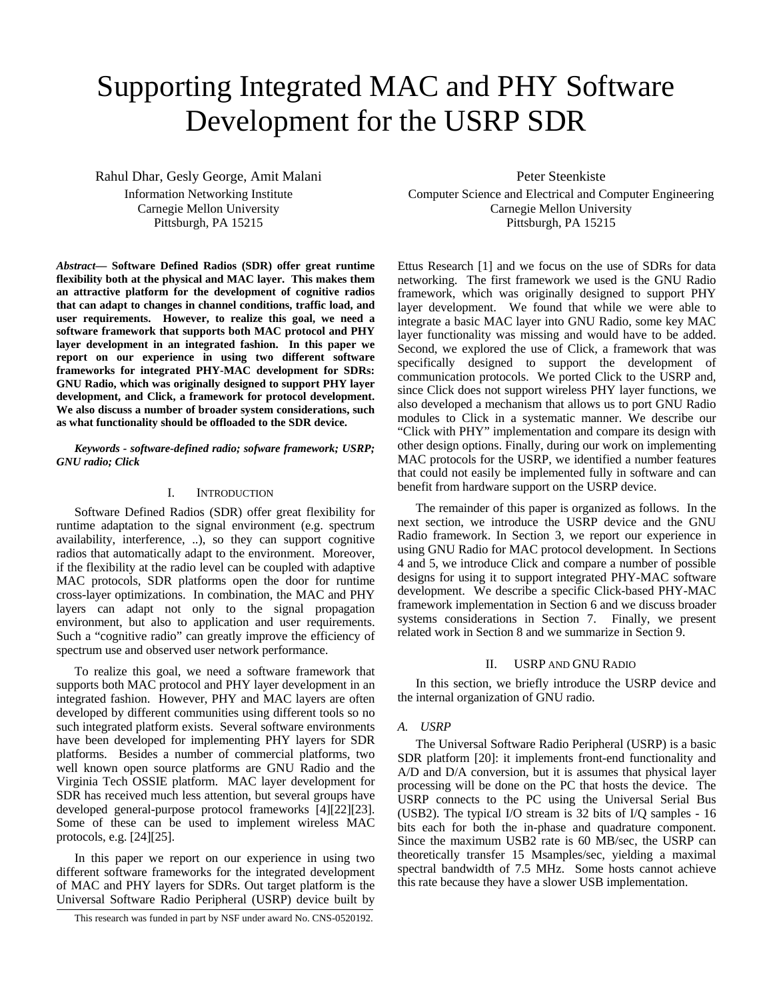# Supporting Integrated MAC and PHY Software Development for the USRP SDR

Rahul Dhar, Gesly George, Amit Malani Information Networking Institute Carnegie Mellon University Pittsburgh, PA 15215

*Abstract***— Software Defined Radios (SDR) offer great runtime flexibility both at the physical and MAC layer. This makes them an attractive platform for the development of cognitive radios that can adapt to changes in channel conditions, traffic load, and user requirements. However, to realize this goal, we need a software framework that supports both MAC protocol and PHY layer development in an integrated fashion. In this paper we report on our experience in using two different software frameworks for integrated PHY-MAC development for SDRs: GNU Radio, which was originally designed to support PHY layer development, and Click, a framework for protocol development. We also discuss a number of broader system considerations, such as what functionality should be offloaded to the SDR device.** 

*Keywords - software-defined radio; sofware framework; USRP; GNU radio; Click* 

# I. INTRODUCTION

Software Defined Radios (SDR) offer great flexibility for runtime adaptation to the signal environment (e.g. spectrum availability, interference, ..), so they can support cognitive radios that automatically adapt to the environment. Moreover, if the flexibility at the radio level can be coupled with adaptive MAC protocols, SDR platforms open the door for runtime cross-layer optimizations. In combination, the MAC and PHY layers can adapt not only to the signal propagation environment, but also to application and user requirements. Such a "cognitive radio" can greatly improve the efficiency of spectrum use and observed user network performance.

To realize this goal, we need a software framework that supports both MAC protocol and PHY layer development in an integrated fashion. However, PHY and MAC layers are often developed by different communities using different tools so no such integrated platform exists. Several software environments have been developed for implementing PHY layers for SDR platforms. Besides a number of commercial platforms, two well known open source platforms are GNU Radio and the Virginia Tech OSSIE platform. MAC layer development for SDR has received much less attention, but several groups have developed general-purpose protocol frameworks [4][22][23]. Some of these can be used to implement wireless MAC protocols, e.g. [24][25].

In this paper we report on our experience in using two different software frameworks for the integrated development of MAC and PHY layers for SDRs. Out target platform is the Universal Software Radio Peripheral (USRP) device built by

Peter Steenkiste

Computer Science and Electrical and Computer Engineering Carnegie Mellon University Pittsburgh, PA 15215

Ettus Research [1] and we focus on the use of SDRs for data networking. The first framework we used is the GNU Radio framework, which was originally designed to support PHY layer development. We found that while we were able to integrate a basic MAC layer into GNU Radio, some key MAC layer functionality was missing and would have to be added. Second, we explored the use of Click, a framework that was specifically designed to support the development of communication protocols. We ported Click to the USRP and, since Click does not support wireless PHY layer functions, we also developed a mechanism that allows us to port GNU Radio modules to Click in a systematic manner. We describe our "Click with PHY" implementation and compare its design with other design options. Finally, during our work on implementing MAC protocols for the USRP, we identified a number features that could not easily be implemented fully in software and can benefit from hardware support on the USRP device.

The remainder of this paper is organized as follows. In the next section, we introduce the USRP device and the GNU Radio framework. In Section 3, we report our experience in using GNU Radio for MAC protocol development. In Sections 4 and 5, we introduce Click and compare a number of possible designs for using it to support integrated PHY-MAC software development. We describe a specific Click-based PHY-MAC framework implementation in Section 6 and we discuss broader systems considerations in Section 7. Finally, we present related work in Section 8 and we summarize in Section 9.

## II. USRP AND GNU RADIO

In this section, we briefly introduce the USRP device and the internal organization of GNU radio.

## *A. USRP*

The Universal Software Radio Peripheral (USRP) is a basic SDR platform [20]: it implements front-end functionality and A/D and D/A conversion, but it is assumes that physical layer processing will be done on the PC that hosts the device. The USRP connects to the PC using the Universal Serial Bus (USB2). The typical I/O stream is 32 bits of I/Q samples - 16 bits each for both the in-phase and quadrature component. Since the maximum USB2 rate is 60 MB/sec, the USRP can theoretically transfer 15 Msamples/sec, yielding a maximal spectral bandwidth of 7.5 MHz. Some hosts cannot achieve this rate because they have a slower USB implementation.

This research was funded in part by NSF under award No. CNS-0520192.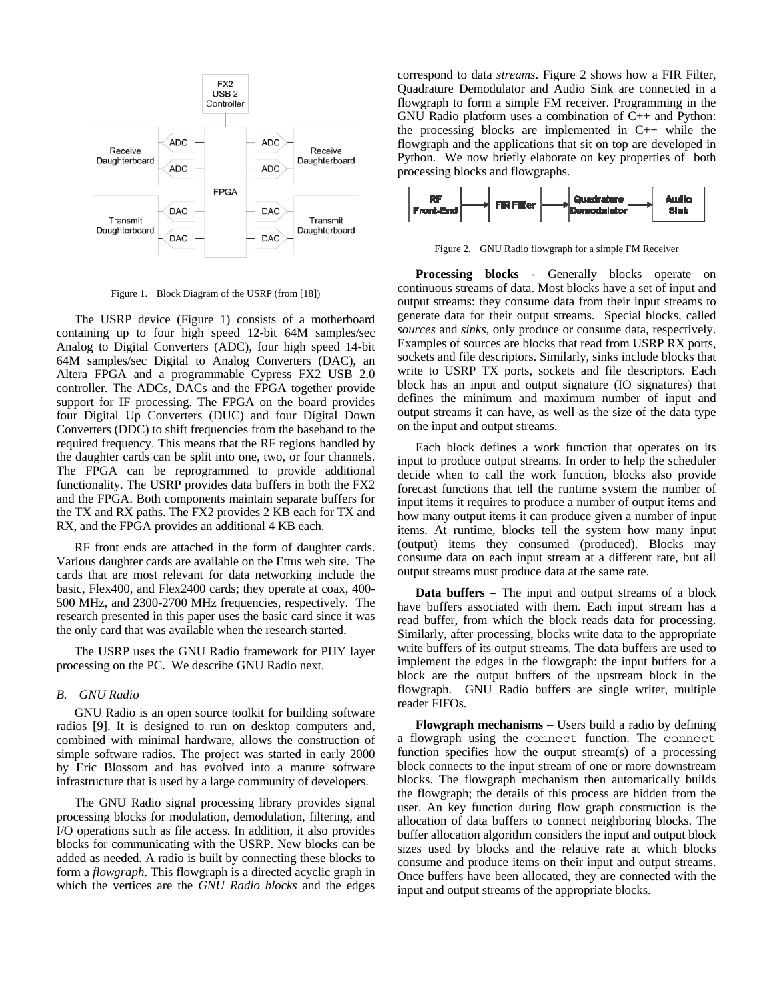

Figure 1. Block Diagram of the USRP (from [18])

The USRP device (Figure 1) consists of a motherboard containing up to four high speed 12-bit 64M samples/sec Analog to Digital Converters (ADC), four high speed 14-bit 64M samples/sec Digital to Analog Converters (DAC), an Altera FPGA and a programmable Cypress FX2 USB 2.0 controller. The ADCs, DACs and the FPGA together provide support for IF processing. The FPGA on the board provides four Digital Up Converters (DUC) and four Digital Down Converters (DDC) to shift frequencies from the baseband to the required frequency. This means that the RF regions handled by the daughter cards can be split into one, two, or four channels. The FPGA can be reprogrammed to provide additional functionality. The USRP provides data buffers in both the FX2 and the FPGA. Both components maintain separate buffers for the TX and RX paths. The FX2 provides 2 KB each for TX and RX, and the FPGA provides an additional 4 KB each.

RF front ends are attached in the form of daughter cards. Various daughter cards are available on the Ettus web site. The cards that are most relevant for data networking include the basic, Flex400, and Flex2400 cards; they operate at coax, 400- 500 MHz, and 2300-2700 MHz frequencies, respectively. The research presented in this paper uses the basic card since it was the only card that was available when the research started.

The USRP uses the GNU Radio framework for PHY layer processing on the PC. We describe GNU Radio next.

#### *B. GNU Radio*

GNU Radio is an open source toolkit for building software radios [9]. It is designed to run on desktop computers and, combined with minimal hardware, allows the construction of simple software radios. The project was started in early 2000 by Eric Blossom and has evolved into a mature software infrastructure that is used by a large community of developers.

The GNU Radio signal processing library provides signal processing blocks for modulation, demodulation, filtering, and I/O operations such as file access. In addition, it also provides blocks for communicating with the USRP. New blocks can be added as needed. A radio is built by connecting these blocks to form a *flowgraph*. This flowgraph is a directed acyclic graph in which the vertices are the *GNU Radio blocks* and the edges correspond to data *streams*. Figure 2 shows how a FIR Filter, Quadrature Demodulator and Audio Sink are connected in a flowgraph to form a simple FM receiver. Programming in the GNU Radio platform uses a combination of C++ and Python: the processing blocks are implemented in C++ while the flowgraph and the applications that sit on top are developed in Python. We now briefly elaborate on key properties of both processing blocks and flowgraphs.



Figure 2. GNU Radio flowgraph for a simple FM Receiver

**Processing blocks** - Generally blocks operate on continuous streams of data. Most blocks have a set of input and output streams: they consume data from their input streams to generate data for their output streams. Special blocks, called *sources* and *sinks*, only produce or consume data, respectively. Examples of sources are blocks that read from USRP RX ports, sockets and file descriptors. Similarly, sinks include blocks that write to USRP TX ports, sockets and file descriptors. Each block has an input and output signature (IO signatures) that defines the minimum and maximum number of input and output streams it can have, as well as the size of the data type on the input and output streams.

Each block defines a work function that operates on its input to produce output streams. In order to help the scheduler decide when to call the work function, blocks also provide forecast functions that tell the runtime system the number of input items it requires to produce a number of output items and how many output items it can produce given a number of input items. At runtime, blocks tell the system how many input (output) items they consumed (produced). Blocks may consume data on each input stream at a different rate, but all output streams must produce data at the same rate.

**Data buffers** – The input and output streams of a block have buffers associated with them. Each input stream has a read buffer, from which the block reads data for processing. Similarly, after processing, blocks write data to the appropriate write buffers of its output streams. The data buffers are used to implement the edges in the flowgraph: the input buffers for a block are the output buffers of the upstream block in the flowgraph. GNU Radio buffers are single writer, multiple reader FIFOs.

**Flowgraph mechanisms** – Users build a radio by defining a flowgraph using the connect function. The connect function specifies how the output stream(s) of a processing block connects to the input stream of one or more downstream blocks. The flowgraph mechanism then automatically builds the flowgraph; the details of this process are hidden from the user. An key function during flow graph construction is the allocation of data buffers to connect neighboring blocks. The buffer allocation algorithm considers the input and output block sizes used by blocks and the relative rate at which blocks consume and produce items on their input and output streams. Once buffers have been allocated, they are connected with the input and output streams of the appropriate blocks.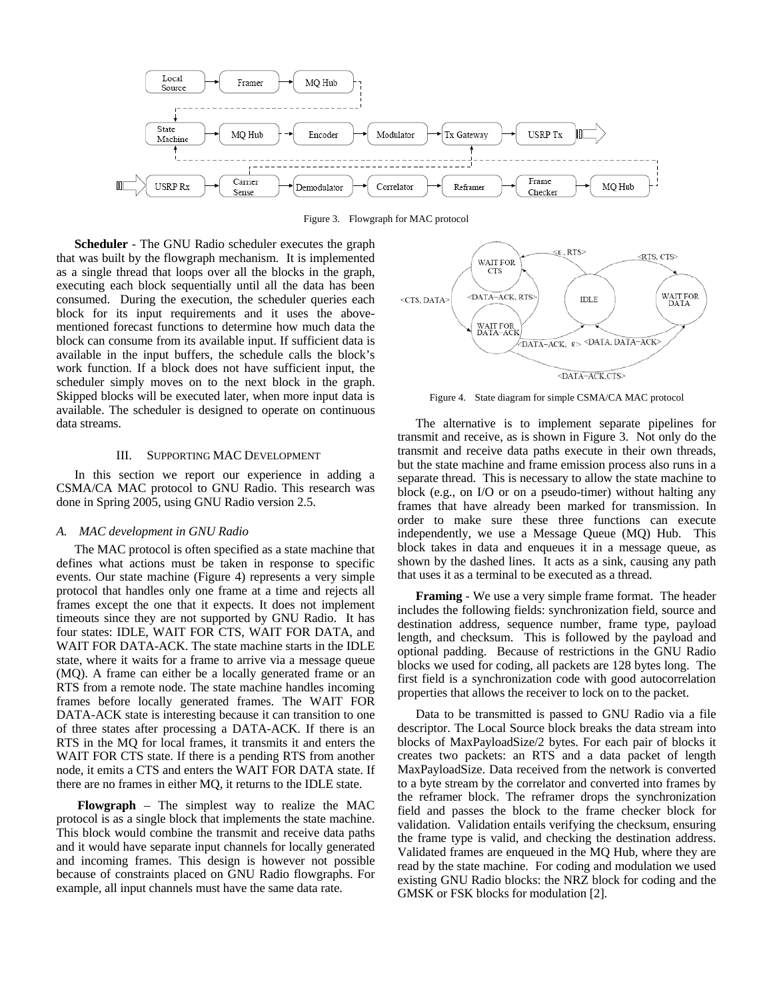

Figure 3. Flowgraph for MAC protocol

**Scheduler** - The GNU Radio scheduler executes the graph that was built by the flowgraph mechanism. It is implemented as a single thread that loops over all the blocks in the graph, executing each block sequentially until all the data has been consumed. During the execution, the scheduler queries each block for its input requirements and it uses the abovementioned forecast functions to determine how much data the block can consume from its available input. If sufficient data is available in the input buffers, the schedule calls the block's work function. If a block does not have sufficient input, the scheduler simply moves on to the next block in the graph. Skipped blocks will be executed later, when more input data is available. The scheduler is designed to operate on continuous data streams.

## III. SUPPORTING MAC DEVELOPMENT

In this section we report our experience in adding a CSMA/CA MAC protocol to GNU Radio. This research was done in Spring 2005, using GNU Radio version 2.5.

#### *A. MAC development in GNU Radio*

The MAC protocol is often specified as a state machine that defines what actions must be taken in response to specific events. Our state machine (Figure 4) represents a very simple protocol that handles only one frame at a time and rejects all frames except the one that it expects. It does not implement timeouts since they are not supported by GNU Radio. It has four states: IDLE, WAIT FOR CTS, WAIT FOR DATA, and WAIT FOR DATA-ACK. The state machine starts in the IDLE state, where it waits for a frame to arrive via a message queue (MQ). A frame can either be a locally generated frame or an RTS from a remote node. The state machine handles incoming frames before locally generated frames. The WAIT FOR DATA-ACK state is interesting because it can transition to one of three states after processing a DATA-ACK. If there is an RTS in the MQ for local frames, it transmits it and enters the WAIT FOR CTS state. If there is a pending RTS from another node, it emits a CTS and enters the WAIT FOR DATA state. If there are no frames in either MQ, it returns to the IDLE state.

**Flowgraph** – The simplest way to realize the MAC protocol is as a single block that implements the state machine. This block would combine the transmit and receive data paths and it would have separate input channels for locally generated and incoming frames. This design is however not possible because of constraints placed on GNU Radio flowgraphs. For example, all input channels must have the same data rate.



Figure 4. State diagram for simple CSMA/CA MAC protocol

The alternative is to implement separate pipelines for transmit and receive, as is shown in Figure 3. Not only do the transmit and receive data paths execute in their own threads, but the state machine and frame emission process also runs in a separate thread. This is necessary to allow the state machine to block (e.g., on I/O or on a pseudo-timer) without halting any frames that have already been marked for transmission. In order to make sure these three functions can execute independently, we use a Message Queue (MQ) Hub. This block takes in data and enqueues it in a message queue, as shown by the dashed lines. It acts as a sink, causing any path that uses it as a terminal to be executed as a thread.

**Framing** - We use a very simple frame format. The header includes the following fields: synchronization field, source and destination address, sequence number, frame type, payload length, and checksum. This is followed by the payload and optional padding. Because of restrictions in the GNU Radio blocks we used for coding, all packets are 128 bytes long. The first field is a synchronization code with good autocorrelation properties that allows the receiver to lock on to the packet.

Data to be transmitted is passed to GNU Radio via a file descriptor. The Local Source block breaks the data stream into blocks of MaxPayloadSize/2 bytes. For each pair of blocks it creates two packets: an RTS and a data packet of length MaxPayloadSize. Data received from the network is converted to a byte stream by the correlator and converted into frames by the reframer block. The reframer drops the synchronization field and passes the block to the frame checker block for validation. Validation entails verifying the checksum, ensuring the frame type is valid, and checking the destination address. Validated frames are enqueued in the MQ Hub, where they are read by the state machine. For coding and modulation we used existing GNU Radio blocks: the NRZ block for coding and the GMSK or FSK blocks for modulation [2].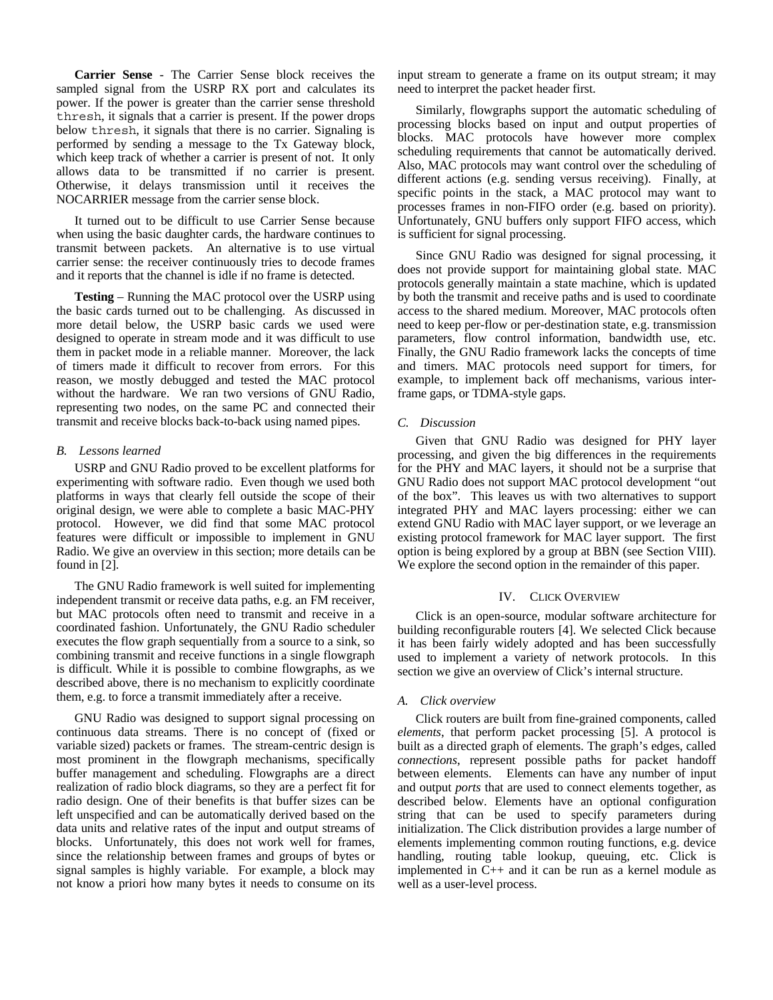**Carrier Sense** - The Carrier Sense block receives the sampled signal from the USRP RX port and calculates its power. If the power is greater than the carrier sense threshold thresh, it signals that a carrier is present. If the power drops below thresh, it signals that there is no carrier. Signaling is performed by sending a message to the Tx Gateway block, which keep track of whether a carrier is present of not. It only allows data to be transmitted if no carrier is present. Otherwise, it delays transmission until it receives the NOCARRIER message from the carrier sense block.

It turned out to be difficult to use Carrier Sense because when using the basic daughter cards, the hardware continues to transmit between packets. An alternative is to use virtual carrier sense: the receiver continuously tries to decode frames and it reports that the channel is idle if no frame is detected.

**Testing** – Running the MAC protocol over the USRP using the basic cards turned out to be challenging. As discussed in more detail below, the USRP basic cards we used were designed to operate in stream mode and it was difficult to use them in packet mode in a reliable manner. Moreover, the lack of timers made it difficult to recover from errors. For this reason, we mostly debugged and tested the MAC protocol without the hardware. We ran two versions of GNU Radio, representing two nodes, on the same PC and connected their transmit and receive blocks back-to-back using named pipes.

# *B. Lessons learned*

USRP and GNU Radio proved to be excellent platforms for experimenting with software radio. Even though we used both platforms in ways that clearly fell outside the scope of their original design, we were able to complete a basic MAC-PHY protocol. However, we did find that some MAC protocol features were difficult or impossible to implement in GNU Radio. We give an overview in this section; more details can be found in [2].

The GNU Radio framework is well suited for implementing independent transmit or receive data paths, e.g. an FM receiver, but MAC protocols often need to transmit and receive in a coordinated fashion. Unfortunately, the GNU Radio scheduler executes the flow graph sequentially from a source to a sink, so combining transmit and receive functions in a single flowgraph is difficult. While it is possible to combine flowgraphs, as we described above, there is no mechanism to explicitly coordinate them, e.g. to force a transmit immediately after a receive.

GNU Radio was designed to support signal processing on continuous data streams. There is no concept of (fixed or variable sized) packets or frames. The stream-centric design is most prominent in the flowgraph mechanisms, specifically buffer management and scheduling. Flowgraphs are a direct realization of radio block diagrams, so they are a perfect fit for radio design. One of their benefits is that buffer sizes can be left unspecified and can be automatically derived based on the data units and relative rates of the input and output streams of blocks. Unfortunately, this does not work well for frames, since the relationship between frames and groups of bytes or signal samples is highly variable. For example, a block may not know a priori how many bytes it needs to consume on its

input stream to generate a frame on its output stream; it may need to interpret the packet header first.

Similarly, flowgraphs support the automatic scheduling of processing blocks based on input and output properties of blocks. MAC protocols have however more complex scheduling requirements that cannot be automatically derived. Also, MAC protocols may want control over the scheduling of different actions (e.g. sending versus receiving). Finally, at specific points in the stack, a MAC protocol may want to processes frames in non-FIFO order (e.g. based on priority). Unfortunately, GNU buffers only support FIFO access, which is sufficient for signal processing.

Since GNU Radio was designed for signal processing, it does not provide support for maintaining global state. MAC protocols generally maintain a state machine, which is updated by both the transmit and receive paths and is used to coordinate access to the shared medium. Moreover, MAC protocols often need to keep per-flow or per-destination state, e.g. transmission parameters, flow control information, bandwidth use, etc. Finally, the GNU Radio framework lacks the concepts of time and timers. MAC protocols need support for timers, for example, to implement back off mechanisms, various interframe gaps, or TDMA-style gaps.

## *C. Discussion*

Given that GNU Radio was designed for PHY layer processing, and given the big differences in the requirements for the PHY and MAC layers, it should not be a surprise that GNU Radio does not support MAC protocol development "out of the box". This leaves us with two alternatives to support integrated PHY and MAC layers processing: either we can extend GNU Radio with MAC layer support, or we leverage an existing protocol framework for MAC layer support. The first option is being explored by a group at BBN (see Section VIII). We explore the second option in the remainder of this paper.

## IV. CLICK OVERVIEW

Click is an open-source, modular software architecture for building reconfigurable routers [4]. We selected Click because it has been fairly widely adopted and has been successfully used to implement a variety of network protocols. In this section we give an overview of Click's internal structure.

## *A. Click overview*

Click routers are built from fine-grained components, called *elements*, that perform packet processing [5]. A protocol is built as a directed graph of elements. The graph's edges, called *connections*, represent possible paths for packet handoff between elements. Elements can have any number of input and output *ports* that are used to connect elements together, as described below. Elements have an optional configuration string that can be used to specify parameters during initialization. The Click distribution provides a large number of elements implementing common routing functions, e.g. device handling, routing table lookup, queuing, etc. Click is implemented in C++ and it can be run as a kernel module as well as a user-level process.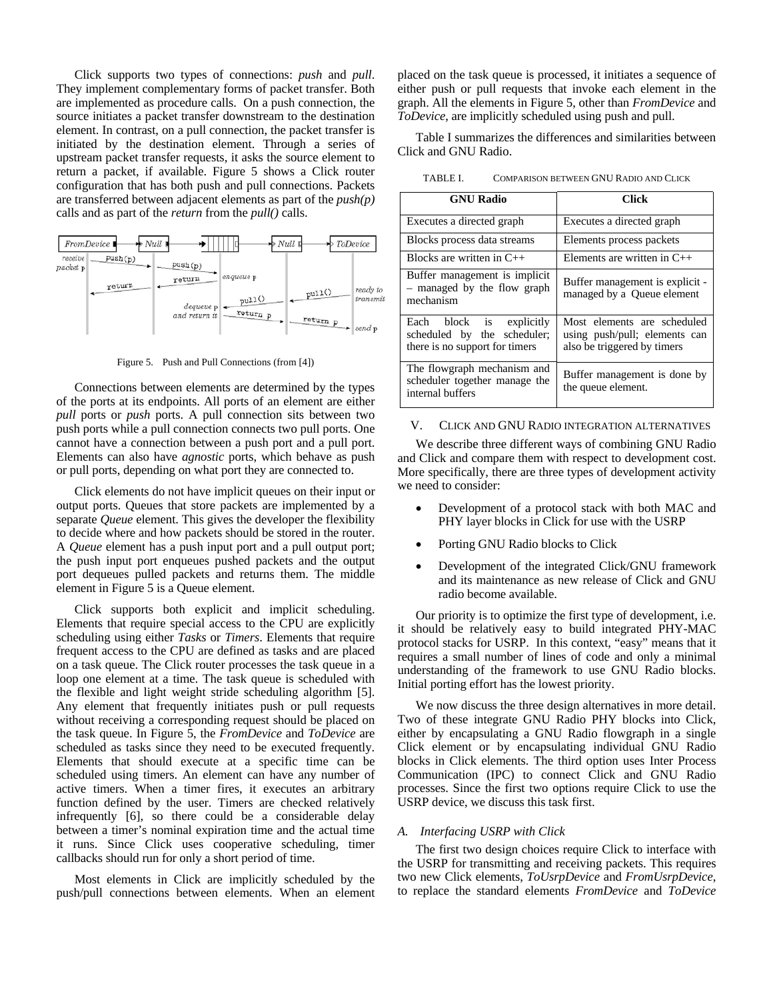Click supports two types of connections: *push* and *pull*. They implement complementary forms of packet transfer. Both are implemented as procedure calls. On a push connection, the source initiates a packet transfer downstream to the destination element. In contrast, on a pull connection, the packet transfer is initiated by the destination element. Through a series of upstream packet transfer requests, it asks the source element to return a packet, if available. Figure 5 shows a Click router configuration that has both push and pull connections. Packets are transferred between adjacent elements as part of the *push(p)* calls and as part of the *return* from the *pull()* calls.



Figure 5. Push and Pull Connections (from [4])

Connections between elements are determined by the types of the ports at its endpoints. All ports of an element are either *pull* ports or *push* ports. A pull connection sits between two push ports while a pull connection connects two pull ports. One cannot have a connection between a push port and a pull port. Elements can also have *agnostic* ports, which behave as push or pull ports, depending on what port they are connected to.

Click elements do not have implicit queues on their input or output ports. Queues that store packets are implemented by a separate *Queue* element. This gives the developer the flexibility to decide where and how packets should be stored in the router. A *Queue* element has a push input port and a pull output port; the push input port enqueues pushed packets and the output port dequeues pulled packets and returns them. The middle element in Figure 5 is a Queue element.

Click supports both explicit and implicit scheduling. Elements that require special access to the CPU are explicitly scheduling using either *Tasks* or *Timers*. Elements that require frequent access to the CPU are defined as tasks and are placed on a task queue. The Click router processes the task queue in a loop one element at a time. The task queue is scheduled with the flexible and light weight stride scheduling algorithm [5]. Any element that frequently initiates push or pull requests without receiving a corresponding request should be placed on the task queue. In Figure 5, the *FromDevice* and *ToDevice* are scheduled as tasks since they need to be executed frequently. Elements that should execute at a specific time can be scheduled using timers. An element can have any number of active timers. When a timer fires, it executes an arbitrary function defined by the user. Timers are checked relatively infrequently [6], so there could be a considerable delay between a timer's nominal expiration time and the actual time it runs. Since Click uses cooperative scheduling, timer callbacks should run for only a short period of time.

Most elements in Click are implicitly scheduled by the push/pull connections between elements. When an element placed on the task queue is processed, it initiates a sequence of either push or pull requests that invoke each element in the graph. All the elements in Figure 5, other than *FromDevice* and *ToDevice*, are implicitly scheduled using push and pull.

Table I summarizes the differences and similarities between Click and GNU Radio.

TABLE I. COMPARISON BETWEEN GNU RADIO AND CLICK

| <b>GNU Radio</b>                                                                          | Click                                                                                       |
|-------------------------------------------------------------------------------------------|---------------------------------------------------------------------------------------------|
| Executes a directed graph                                                                 | Executes a directed graph                                                                   |
| Blocks process data streams                                                               | Elements process packets                                                                    |
| Blocks are written in $C++$                                                               | Elements are written in $C_{++}$                                                            |
| Buffer management is implicit<br>- managed by the flow graph<br>mechanism                 | Buffer management is explicit -<br>managed by a Queue element                               |
| Each block is explicitly<br>scheduled by the scheduler;<br>there is no support for timers | Most elements are scheduled<br>using push/pull; elements can<br>also be triggered by timers |
| The flowgraph mechanism and<br>scheduler together manage the<br>internal buffers          | Buffer management is done by<br>the queue element.                                          |

## V. CLICK AND GNU RADIO INTEGRATION ALTERNATIVES

We describe three different ways of combining GNU Radio and Click and compare them with respect to development cost. More specifically, there are three types of development activity we need to consider:

- Development of a protocol stack with both MAC and PHY layer blocks in Click for use with the USRP
- Porting GNU Radio blocks to Click
- Development of the integrated Click/GNU framework and its maintenance as new release of Click and GNU radio become available.

Our priority is to optimize the first type of development, i.e. it should be relatively easy to build integrated PHY-MAC protocol stacks for USRP. In this context, "easy" means that it requires a small number of lines of code and only a minimal understanding of the framework to use GNU Radio blocks. Initial porting effort has the lowest priority.

We now discuss the three design alternatives in more detail. Two of these integrate GNU Radio PHY blocks into Click, either by encapsulating a GNU Radio flowgraph in a single Click element or by encapsulating individual GNU Radio blocks in Click elements. The third option uses Inter Process Communication (IPC) to connect Click and GNU Radio processes. Since the first two options require Click to use the USRP device, we discuss this task first.

#### *A. Interfacing USRP with Click*

The first two design choices require Click to interface with the USRP for transmitting and receiving packets. This requires two new Click elements, *ToUsrpDevice* and *FromUsrpDevice*, to replace the standard elements *FromDevice* and *ToDevice*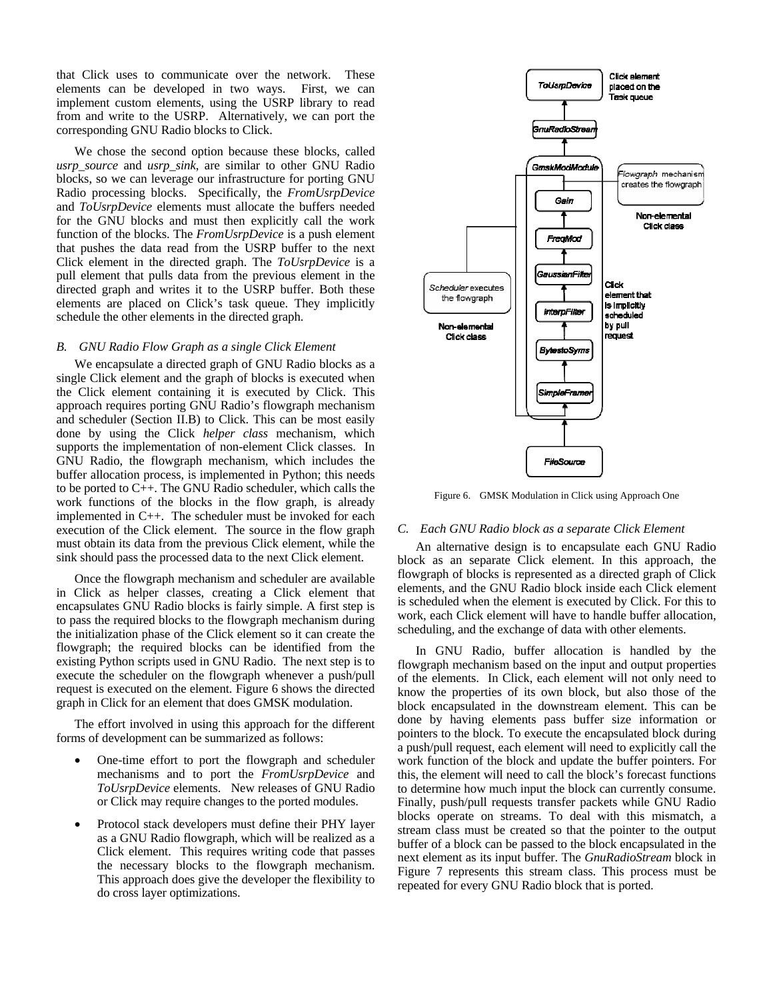that Click uses to communicate over the network. These elements can be developed in two ways. First, we can implement custom elements, using the USRP library to read from and write to the USRP. Alternatively, we can port the corresponding GNU Radio blocks to Click.

We chose the second option because these blocks, called *usrp\_source* and *usrp\_sink*, are similar to other GNU Radio blocks, so we can leverage our infrastructure for porting GNU Radio processing blocks. Specifically, the *FromUsrpDevice* and *ToUsrpDevice* elements must allocate the buffers needed for the GNU blocks and must then explicitly call the work function of the blocks. The *FromUsrpDevice* is a push element that pushes the data read from the USRP buffer to the next Click element in the directed graph. The *ToUsrpDevice* is a pull element that pulls data from the previous element in the directed graph and writes it to the USRP buffer. Both these elements are placed on Click's task queue. They implicitly schedule the other elements in the directed graph.

# *B. GNU Radio Flow Graph as a single Click Element*

We encapsulate a directed graph of GNU Radio blocks as a single Click element and the graph of blocks is executed when the Click element containing it is executed by Click. This approach requires porting GNU Radio's flowgraph mechanism and scheduler (Section II.B) to Click. This can be most easily done by using the Click *helper class* mechanism, which supports the implementation of non-element Click classes. In GNU Radio, the flowgraph mechanism, which includes the buffer allocation process, is implemented in Python; this needs to be ported to C++. The GNU Radio scheduler, which calls the work functions of the blocks in the flow graph, is already implemented in C++. The scheduler must be invoked for each execution of the Click element. The source in the flow graph must obtain its data from the previous Click element, while the sink should pass the processed data to the next Click element.

Once the flowgraph mechanism and scheduler are available in Click as helper classes, creating a Click element that encapsulates GNU Radio blocks is fairly simple. A first step is to pass the required blocks to the flowgraph mechanism during the initialization phase of the Click element so it can create the flowgraph; the required blocks can be identified from the existing Python scripts used in GNU Radio. The next step is to execute the scheduler on the flowgraph whenever a push/pull request is executed on the element. Figure 6 shows the directed graph in Click for an element that does GMSK modulation.

The effort involved in using this approach for the different forms of development can be summarized as follows:

- One-time effort to port the flowgraph and scheduler mechanisms and to port the *FromUsrpDevice* and *ToUsrpDevice* elements. New releases of GNU Radio or Click may require changes to the ported modules.
- Protocol stack developers must define their PHY layer as a GNU Radio flowgraph, which will be realized as a Click element. This requires writing code that passes the necessary blocks to the flowgraph mechanism. This approach does give the developer the flexibility to do cross layer optimizations.



Figure 6. GMSK Modulation in Click using Approach One

# *C. Each GNU Radio block as a separate Click Element*

An alternative design is to encapsulate each GNU Radio block as an separate Click element. In this approach, the flowgraph of blocks is represented as a directed graph of Click elements, and the GNU Radio block inside each Click element is scheduled when the element is executed by Click. For this to work, each Click element will have to handle buffer allocation, scheduling, and the exchange of data with other elements.

In GNU Radio, buffer allocation is handled by the flowgraph mechanism based on the input and output properties of the elements. In Click, each element will not only need to know the properties of its own block, but also those of the block encapsulated in the downstream element. This can be done by having elements pass buffer size information or pointers to the block. To execute the encapsulated block during a push/pull request, each element will need to explicitly call the work function of the block and update the buffer pointers. For this, the element will need to call the block's forecast functions to determine how much input the block can currently consume. Finally, push/pull requests transfer packets while GNU Radio blocks operate on streams. To deal with this mismatch, a stream class must be created so that the pointer to the output buffer of a block can be passed to the block encapsulated in the next element as its input buffer. The *GnuRadioStream* block in Figure 7 represents this stream class. This process must be repeated for every GNU Radio block that is ported.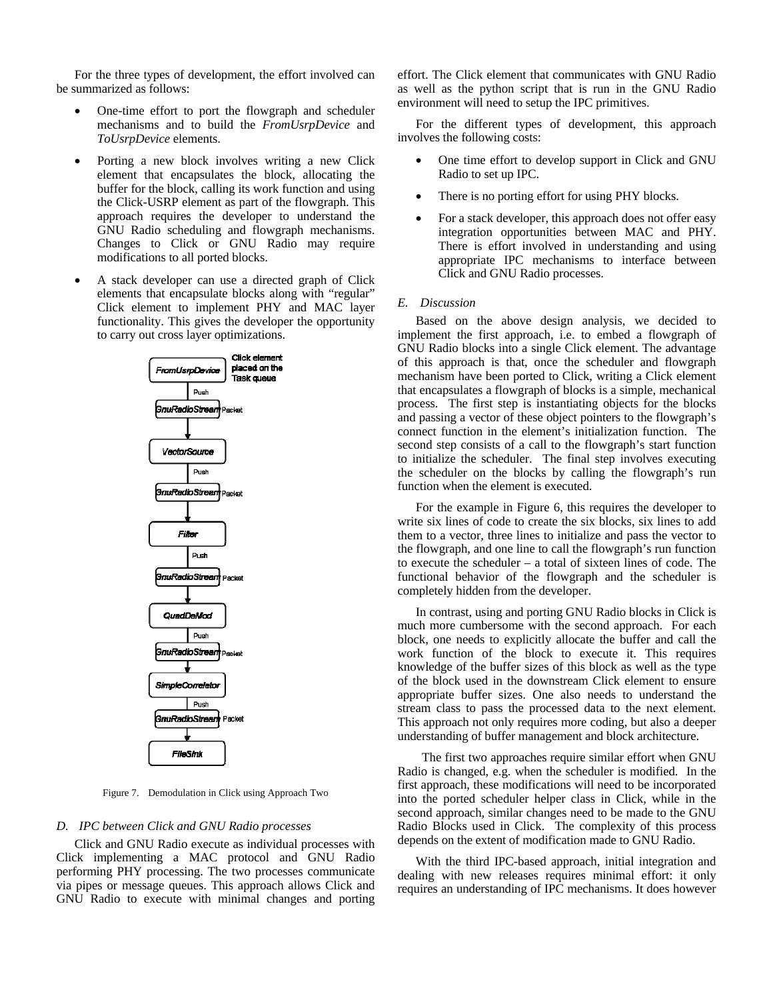For the three types of development, the effort involved can be summarized as follows:

- One-time effort to port the flowgraph and scheduler mechanisms and to build the *FromUsrpDevice* and *ToUsrpDevice* elements.
- Porting a new block involves writing a new Click element that encapsulates the block, allocating the buffer for the block, calling its work function and using the Click-USRP element as part of the flowgraph. This approach requires the developer to understand the GNU Radio scheduling and flowgraph mechanisms. Changes to Click or GNU Radio may require modifications to all ported blocks.
- A stack developer can use a directed graph of Click elements that encapsulate blocks along with "regular" Click element to implement PHY and MAC layer functionality. This gives the developer the opportunity to carry out cross layer optimizations.



Figure 7. Demodulation in Click using Approach Two

# *D. IPC between Click and GNU Radio processes*

Click and GNU Radio execute as individual processes with Click implementing a MAC protocol and GNU Radio performing PHY processing. The two processes communicate via pipes or message queues. This approach allows Click and GNU Radio to execute with minimal changes and porting effort. The Click element that communicates with GNU Radio as well as the python script that is run in the GNU Radio environment will need to setup the IPC primitives.

For the different types of development, this approach involves the following costs:

- One time effort to develop support in Click and GNU Radio to set up IPC.
- There is no porting effort for using PHY blocks.
- For a stack developer, this approach does not offer easy integration opportunities between MAC and PHY. There is effort involved in understanding and using appropriate IPC mechanisms to interface between Click and GNU Radio processes.

#### *E. Discussion*

Based on the above design analysis, we decided to implement the first approach, i.e. to embed a flowgraph of GNU Radio blocks into a single Click element. The advantage of this approach is that, once the scheduler and flowgraph mechanism have been ported to Click, writing a Click element that encapsulates a flowgraph of blocks is a simple, mechanical process. The first step is instantiating objects for the blocks and passing a vector of these object pointers to the flowgraph's connect function in the element's initialization function. The second step consists of a call to the flowgraph's start function to initialize the scheduler. The final step involves executing the scheduler on the blocks by calling the flowgraph's run function when the element is executed.

For the example in Figure 6, this requires the developer to write six lines of code to create the six blocks, six lines to add them to a vector, three lines to initialize and pass the vector to the flowgraph, and one line to call the flowgraph's run function to execute the scheduler – a total of sixteen lines of code. The functional behavior of the flowgraph and the scheduler is completely hidden from the developer.

In contrast, using and porting GNU Radio blocks in Click is much more cumbersome with the second approach. For each block, one needs to explicitly allocate the buffer and call the work function of the block to execute it. This requires knowledge of the buffer sizes of this block as well as the type of the block used in the downstream Click element to ensure appropriate buffer sizes. One also needs to understand the stream class to pass the processed data to the next element. This approach not only requires more coding, but also a deeper understanding of buffer management and block architecture.

 The first two approaches require similar effort when GNU Radio is changed, e.g. when the scheduler is modified. In the first approach, these modifications will need to be incorporated into the ported scheduler helper class in Click, while in the second approach, similar changes need to be made to the GNU Radio Blocks used in Click. The complexity of this process depends on the extent of modification made to GNU Radio.

With the third IPC-based approach, initial integration and dealing with new releases requires minimal effort: it only requires an understanding of IPC mechanisms. It does however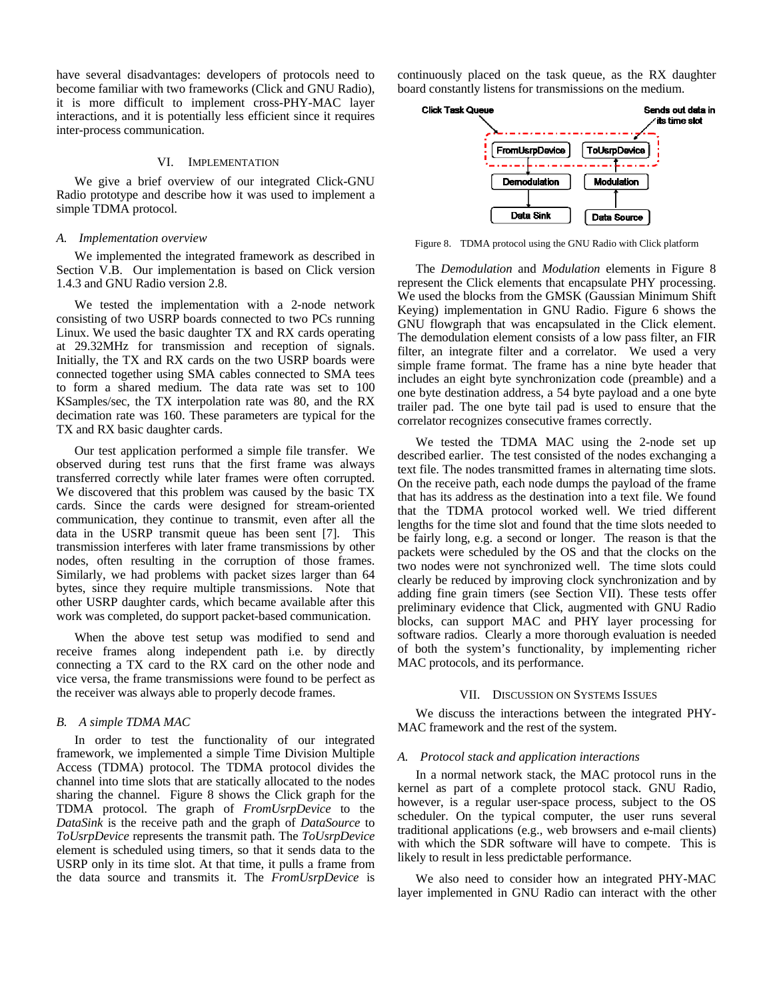have several disadvantages: developers of protocols need to become familiar with two frameworks (Click and GNU Radio), it is more difficult to implement cross-PHY-MAC layer interactions, and it is potentially less efficient since it requires inter-process communication.

#### VI. IMPLEMENTATION

We give a brief overview of our integrated Click-GNU Radio prototype and describe how it was used to implement a simple TDMA protocol.

#### *A. Implementation overview*

We implemented the integrated framework as described in Section V.B. Our implementation is based on Click version 1.4.3 and GNU Radio version 2.8.

We tested the implementation with a 2-node network consisting of two USRP boards connected to two PCs running Linux. We used the basic daughter TX and RX cards operating at 29.32MHz for transmission and reception of signals. Initially, the TX and RX cards on the two USRP boards were connected together using SMA cables connected to SMA tees to form a shared medium. The data rate was set to 100 KSamples/sec, the TX interpolation rate was 80, and the RX decimation rate was 160. These parameters are typical for the TX and RX basic daughter cards.

Our test application performed a simple file transfer. We observed during test runs that the first frame was always transferred correctly while later frames were often corrupted. We discovered that this problem was caused by the basic TX cards. Since the cards were designed for stream-oriented communication, they continue to transmit, even after all the data in the USRP transmit queue has been sent [7]. This transmission interferes with later frame transmissions by other nodes, often resulting in the corruption of those frames. Similarly, we had problems with packet sizes larger than 64 bytes, since they require multiple transmissions. Note that other USRP daughter cards, which became available after this work was completed, do support packet-based communication.

When the above test setup was modified to send and receive frames along independent path i.e. by directly connecting a TX card to the RX card on the other node and vice versa, the frame transmissions were found to be perfect as the receiver was always able to properly decode frames.

## *B. A simple TDMA MAC*

In order to test the functionality of our integrated framework, we implemented a simple Time Division Multiple Access (TDMA) protocol. The TDMA protocol divides the channel into time slots that are statically allocated to the nodes sharing the channel. Figure 8 shows the Click graph for the TDMA protocol. The graph of *FromUsrpDevice* to the *DataSink* is the receive path and the graph of *DataSource* to *ToUsrpDevice* represents the transmit path. The *ToUsrpDevice* element is scheduled using timers, so that it sends data to the USRP only in its time slot. At that time, it pulls a frame from the data source and transmits it. The *FromUsrpDevice* is

continuously placed on the task queue, as the RX daughter board constantly listens for transmissions on the medium.



Figure 8. TDMA protocol using the GNU Radio with Click platform

The *Demodulation* and *Modulation* elements in Figure 8 represent the Click elements that encapsulate PHY processing. We used the blocks from the GMSK (Gaussian Minimum Shift Keying) implementation in GNU Radio. Figure 6 shows the GNU flowgraph that was encapsulated in the Click element. The demodulation element consists of a low pass filter, an FIR filter, an integrate filter and a correlator. We used a very simple frame format. The frame has a nine byte header that includes an eight byte synchronization code (preamble) and a one byte destination address, a 54 byte payload and a one byte trailer pad. The one byte tail pad is used to ensure that the correlator recognizes consecutive frames correctly.

We tested the TDMA MAC using the 2-node set up described earlier. The test consisted of the nodes exchanging a text file. The nodes transmitted frames in alternating time slots. On the receive path, each node dumps the payload of the frame that has its address as the destination into a text file. We found that the TDMA protocol worked well. We tried different lengths for the time slot and found that the time slots needed to be fairly long, e.g. a second or longer. The reason is that the packets were scheduled by the OS and that the clocks on the two nodes were not synchronized well. The time slots could clearly be reduced by improving clock synchronization and by adding fine grain timers (see Section VII). These tests offer preliminary evidence that Click, augmented with GNU Radio blocks, can support MAC and PHY layer processing for software radios. Clearly a more thorough evaluation is needed of both the system's functionality, by implementing richer MAC protocols, and its performance.

## VII. DISCUSSION ON SYSTEMS ISSUES

We discuss the interactions between the integrated PHY-MAC framework and the rest of the system.

## *A. Protocol stack and application interactions*

In a normal network stack, the MAC protocol runs in the kernel as part of a complete protocol stack. GNU Radio, however, is a regular user-space process, subject to the OS scheduler. On the typical computer, the user runs several traditional applications (e.g., web browsers and e-mail clients) with which the SDR software will have to compete. This is likely to result in less predictable performance.

We also need to consider how an integrated PHY-MAC layer implemented in GNU Radio can interact with the other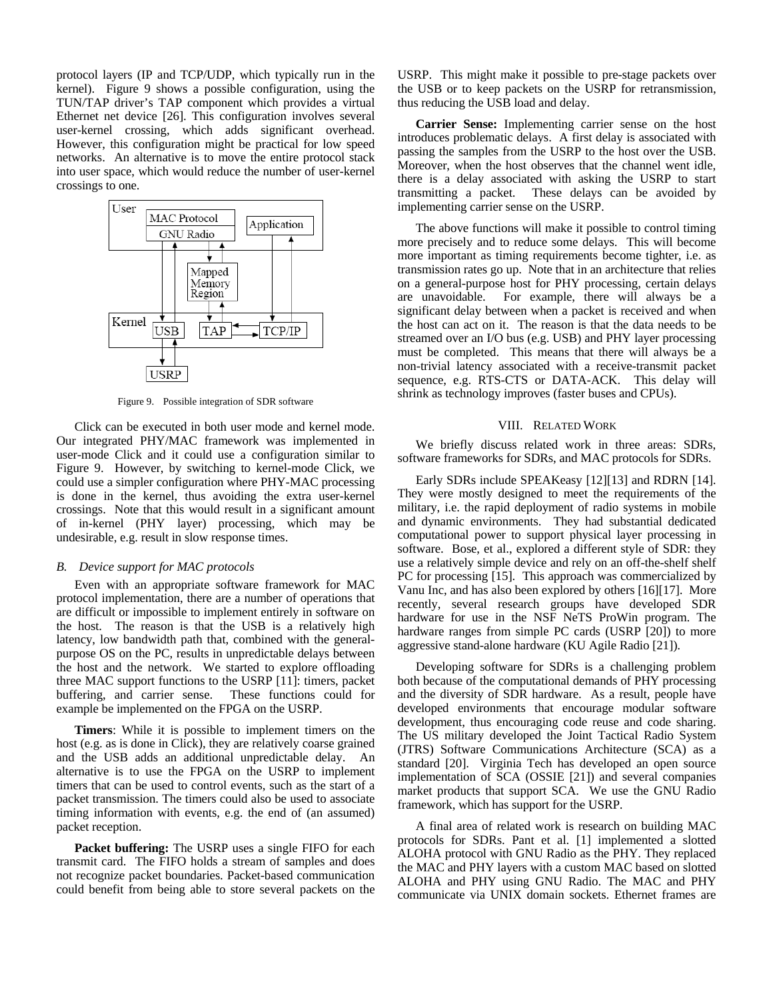protocol layers (IP and TCP/UDP, which typically run in the kernel). Figure 9 shows a possible configuration, using the TUN/TAP driver's TAP component which provides a virtual Ethernet net device [26]. This configuration involves several user-kernel crossing, which adds significant overhead. However, this configuration might be practical for low speed networks. An alternative is to move the entire protocol stack into user space, which would reduce the number of user-kernel crossings to one.



Figure 9. Possible integration of SDR software

Click can be executed in both user mode and kernel mode. Our integrated PHY/MAC framework was implemented in user-mode Click and it could use a configuration similar to Figure 9. However, by switching to kernel-mode Click, we could use a simpler configuration where PHY-MAC processing is done in the kernel, thus avoiding the extra user-kernel crossings. Note that this would result in a significant amount of in-kernel (PHY layer) processing, which may be undesirable, e.g. result in slow response times.

#### *B. Device support for MAC protocols*

Even with an appropriate software framework for MAC protocol implementation, there are a number of operations that are difficult or impossible to implement entirely in software on the host. The reason is that the USB is a relatively high latency, low bandwidth path that, combined with the generalpurpose OS on the PC, results in unpredictable delays between the host and the network. We started to explore offloading three MAC support functions to the USRP [11]: timers, packet buffering, and carrier sense. These functions could for example be implemented on the FPGA on the USRP.

**Timers**: While it is possible to implement timers on the host (e.g. as is done in Click), they are relatively coarse grained and the USB adds an additional unpredictable delay. An alternative is to use the FPGA on the USRP to implement timers that can be used to control events, such as the start of a packet transmission. The timers could also be used to associate timing information with events, e.g. the end of (an assumed) packet reception.

**Packet buffering:** The USRP uses a single FIFO for each transmit card. The FIFO holds a stream of samples and does not recognize packet boundaries. Packet-based communication could benefit from being able to store several packets on the

USRP. This might make it possible to pre-stage packets over the USB or to keep packets on the USRP for retransmission, thus reducing the USB load and delay.

**Carrier Sense:** Implementing carrier sense on the host introduces problematic delays. A first delay is associated with passing the samples from the USRP to the host over the USB. Moreover, when the host observes that the channel went idle, there is a delay associated with asking the USRP to start transmitting a packet. These delays can be avoided by implementing carrier sense on the USRP.

The above functions will make it possible to control timing more precisely and to reduce some delays. This will become more important as timing requirements become tighter, i.e. as transmission rates go up. Note that in an architecture that relies on a general-purpose host for PHY processing, certain delays are unavoidable. For example, there will always be a significant delay between when a packet is received and when the host can act on it. The reason is that the data needs to be streamed over an I/O bus (e.g. USB) and PHY layer processing must be completed. This means that there will always be a non-trivial latency associated with a receive-transmit packet sequence, e.g. RTS-CTS or DATA-ACK. This delay will shrink as technology improves (faster buses and CPUs).

## VIII. RELATED WORK

We briefly discuss related work in three areas: SDRs, software frameworks for SDRs, and MAC protocols for SDRs.

Early SDRs include SPEAKeasy [12][13] and RDRN [14]. They were mostly designed to meet the requirements of the military, i.e. the rapid deployment of radio systems in mobile and dynamic environments. They had substantial dedicated computational power to support physical layer processing in software. Bose, et al., explored a different style of SDR: they use a relatively simple device and rely on an off-the-shelf shelf PC for processing [15]. This approach was commercialized by Vanu Inc, and has also been explored by others [16][17]. More recently, several research groups have developed SDR hardware for use in the NSF NeTS ProWin program. The hardware ranges from simple PC cards (USRP [20]) to more aggressive stand-alone hardware (KU Agile Radio [21]).

Developing software for SDRs is a challenging problem both because of the computational demands of PHY processing and the diversity of SDR hardware. As a result, people have developed environments that encourage modular software development, thus encouraging code reuse and code sharing. The US military developed the Joint Tactical Radio System (JTRS) Software Communications Architecture (SCA) as a standard [20]. Virginia Tech has developed an open source implementation of SCA (OSSIE [21]) and several companies market products that support SCA. We use the GNU Radio framework, which has support for the USRP.

A final area of related work is research on building MAC protocols for SDRs. Pant et al. [1] implemented a slotted ALOHA protocol with GNU Radio as the PHY. They replaced the MAC and PHY layers with a custom MAC based on slotted ALOHA and PHY using GNU Radio. The MAC and PHY communicate via UNIX domain sockets. Ethernet frames are